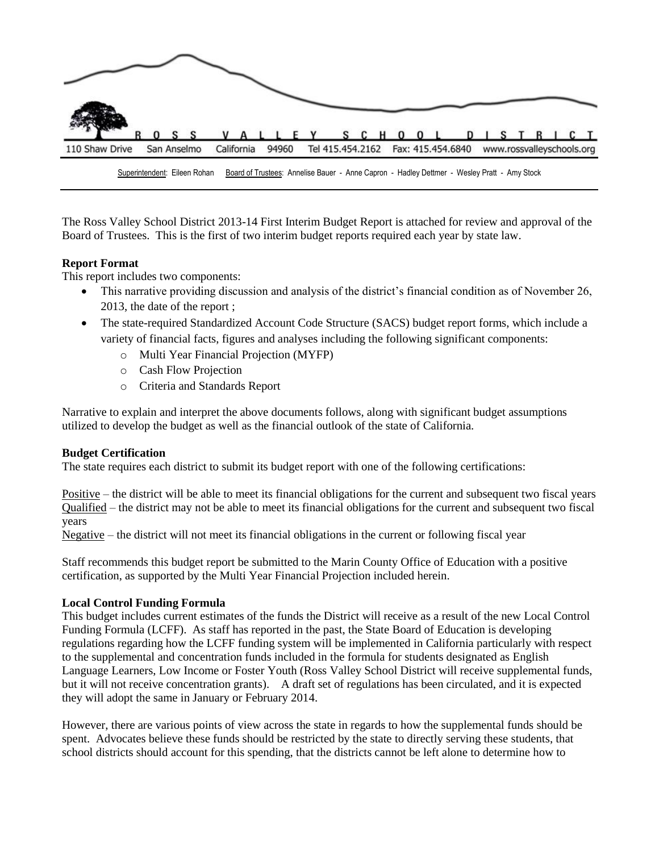

The Ross Valley School District 2013-14 First Interim Budget Report is attached for review and approval of the Board of Trustees. This is the first of two interim budget reports required each year by state law.

# **Report Format**

This report includes two components:

- This narrative providing discussion and analysis of the district's financial condition as of November 26, 2013, the date of the report ;
- The state-required Standardized Account Code Structure (SACS) budget report forms, which include a variety of financial facts, figures and analyses including the following significant components:
	- o Multi Year Financial Projection (MYFP)
	- o Cash Flow Projection
	- o Criteria and Standards Report

Narrative to explain and interpret the above documents follows, along with significant budget assumptions utilized to develop the budget as well as the financial outlook of the state of California.

## **Budget Certification**

The state requires each district to submit its budget report with one of the following certifications:

Positive – the district will be able to meet its financial obligations for the current and subsequent two fiscal years Qualified – the district may not be able to meet its financial obligations for the current and subsequent two fiscal years

Negative – the district will not meet its financial obligations in the current or following fiscal year

Staff recommends this budget report be submitted to the Marin County Office of Education with a positive certification, as supported by the Multi Year Financial Projection included herein.

## **Local Control Funding Formula**

This budget includes current estimates of the funds the District will receive as a result of the new Local Control Funding Formula (LCFF). As staff has reported in the past, the State Board of Education is developing regulations regarding how the LCFF funding system will be implemented in California particularly with respect to the supplemental and concentration funds included in the formula for students designated as English Language Learners, Low Income or Foster Youth (Ross Valley School District will receive supplemental funds, but it will not receive concentration grants). A draft set of regulations has been circulated, and it is expected they will adopt the same in January or February 2014.

However, there are various points of view across the state in regards to how the supplemental funds should be spent. Advocates believe these funds should be restricted by the state to directly serving these students, that school districts should account for this spending, that the districts cannot be left alone to determine how to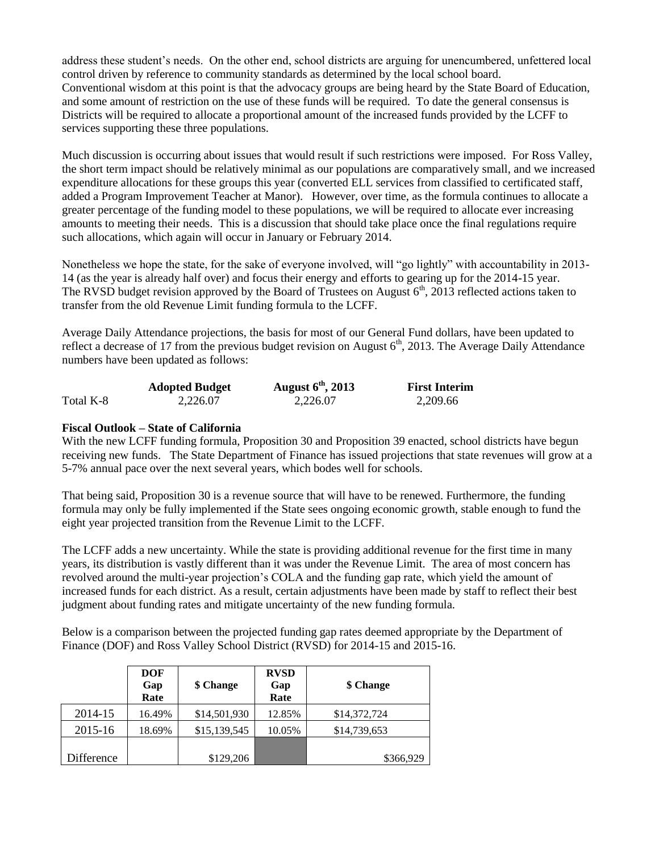address these student's needs. On the other end, school districts are arguing for unencumbered, unfettered local control driven by reference to community standards as determined by the local school board. Conventional wisdom at this point is that the advocacy groups are being heard by the State Board of Education, and some amount of restriction on the use of these funds will be required. To date the general consensus is Districts will be required to allocate a proportional amount of the increased funds provided by the LCFF to services supporting these three populations.

Much discussion is occurring about issues that would result if such restrictions were imposed. For Ross Valley, the short term impact should be relatively minimal as our populations are comparatively small, and we increased expenditure allocations for these groups this year (converted ELL services from classified to certificated staff, added a Program Improvement Teacher at Manor). However, over time, as the formula continues to allocate a greater percentage of the funding model to these populations, we will be required to allocate ever increasing amounts to meeting their needs. This is a discussion that should take place once the final regulations require such allocations, which again will occur in January or February 2014.

Nonetheless we hope the state, for the sake of everyone involved, will "go lightly" with accountability in 2013- 14 (as the year is already half over) and focus their energy and efforts to gearing up for the 2014-15 year. The RVSD budget revision approved by the Board of Trustees on August  $6<sup>th</sup>$ , 2013 reflected actions taken to transfer from the old Revenue Limit funding formula to the LCFF.

Average Daily Attendance projections, the basis for most of our General Fund dollars, have been updated to reflect a decrease of 17 from the previous budget revision on August  $6<sup>th</sup>$ , 2013. The Average Daily Attendance numbers have been updated as follows:

|           | <b>Adopted Budget</b> | August $6th$ , 2013 | <b>First Interim</b> |
|-----------|-----------------------|---------------------|----------------------|
| Total K-8 | 2.226.07              | 2.226.07            | 2,209.66             |

## **Fiscal Outlook – State of California**

With the new LCFF funding formula, Proposition 30 and Proposition 39 enacted, school districts have begun receiving new funds. The State Department of Finance has issued projections that state revenues will grow at a 5-7% annual pace over the next several years, which bodes well for schools.

That being said, Proposition 30 is a revenue source that will have to be renewed. Furthermore, the funding formula may only be fully implemented if the State sees ongoing economic growth, stable enough to fund the eight year projected transition from the Revenue Limit to the LCFF.

The LCFF adds a new uncertainty. While the state is providing additional revenue for the first time in many years, its distribution is vastly different than it was under the Revenue Limit. The area of most concern has revolved around the multi-year projection's COLA and the funding gap rate, which yield the amount of increased funds for each district. As a result, certain adjustments have been made by staff to reflect their best judgment about funding rates and mitigate uncertainty of the new funding formula.

Below is a comparison between the projected funding gap rates deemed appropriate by the Department of Finance (DOF) and Ross Valley School District (RVSD) for 2014-15 and 2015-16.

|            | DOF<br>Gap<br>Rate | \$ Change    | <b>RVSD</b><br>Gap<br>Rate | \$ Change    |
|------------|--------------------|--------------|----------------------------|--------------|
| 2014-15    | 16.49%             | \$14,501,930 | 12.85%                     | \$14,372,724 |
| 2015-16    | 18.69%             | \$15,139,545 | 10.05%                     | \$14,739,653 |
| Difference |                    | \$129,206    |                            | \$366,929    |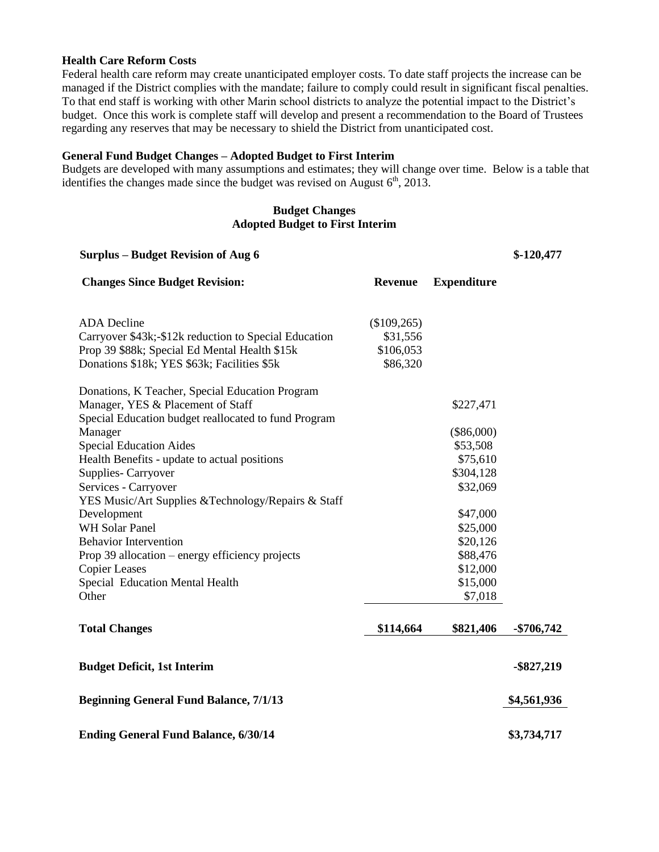### **Health Care Reform Costs**

Federal health care reform may create unanticipated employer costs. To date staff projects the increase can be managed if the District complies with the mandate; failure to comply could result in significant fiscal penalties. To that end staff is working with other Marin school districts to analyze the potential impact to the District's budget. Once this work is complete staff will develop and present a recommendation to the Board of Trustees regarding any reserves that may be necessary to shield the District from unanticipated cost.

#### **General Fund Budget Changes – Adopted Budget to First Interim**

Budgets are developed with many assumptions and estimates; they will change over time. Below is a table that identifies the changes made since the budget was revised on August  $6<sup>th</sup>$ , 2013.

# **Budget Changes Adopted Budget to First Interim**

| <b>Surplus – Budget Revision of Aug 6</b>             |                |                    | $$-120,477$   |
|-------------------------------------------------------|----------------|--------------------|---------------|
| <b>Changes Since Budget Revision:</b>                 | <b>Revenue</b> | <b>Expenditure</b> |               |
| <b>ADA</b> Decline                                    | (\$109,265)    |                    |               |
| Carryover \$43k;-\$12k reduction to Special Education | \$31,556       |                    |               |
| Prop 39 \$88k; Special Ed Mental Health \$15k         | \$106,053      |                    |               |
| Donations \$18k; YES \$63k; Facilities \$5k           | \$86,320       |                    |               |
| Donations, K Teacher, Special Education Program       |                |                    |               |
| Manager, YES & Placement of Staff                     |                | \$227,471          |               |
| Special Education budget reallocated to fund Program  |                |                    |               |
| Manager                                               |                | $(\$86,000)$       |               |
| <b>Special Education Aides</b>                        |                | \$53,508           |               |
| Health Benefits - update to actual positions          |                | \$75,610           |               |
| Supplies-Carryover                                    |                | \$304,128          |               |
| Services - Carryover                                  |                | \$32,069           |               |
| YES Music/Art Supplies & Technology/Repairs & Staff   |                |                    |               |
| Development                                           |                | \$47,000           |               |
| WH Solar Panel                                        |                | \$25,000           |               |
| <b>Behavior Intervention</b>                          |                | \$20,126           |               |
| Prop 39 allocation – energy efficiency projects       |                | \$88,476           |               |
| <b>Copier Leases</b>                                  |                | \$12,000           |               |
| Special Education Mental Health                       |                | \$15,000           |               |
| Other                                                 |                | \$7,018            |               |
| <b>Total Changes</b>                                  | \$114,664      | \$821,406          | $-$ \$706,742 |
|                                                       |                |                    |               |
| <b>Budget Deficit, 1st Interim</b>                    |                |                    | $-$ \$827,219 |
| <b>Beginning General Fund Balance, 7/1/13</b>         |                |                    | \$4,561,936   |
|                                                       |                |                    |               |
| <b>Ending General Fund Balance, 6/30/14</b>           |                |                    | \$3,734,717   |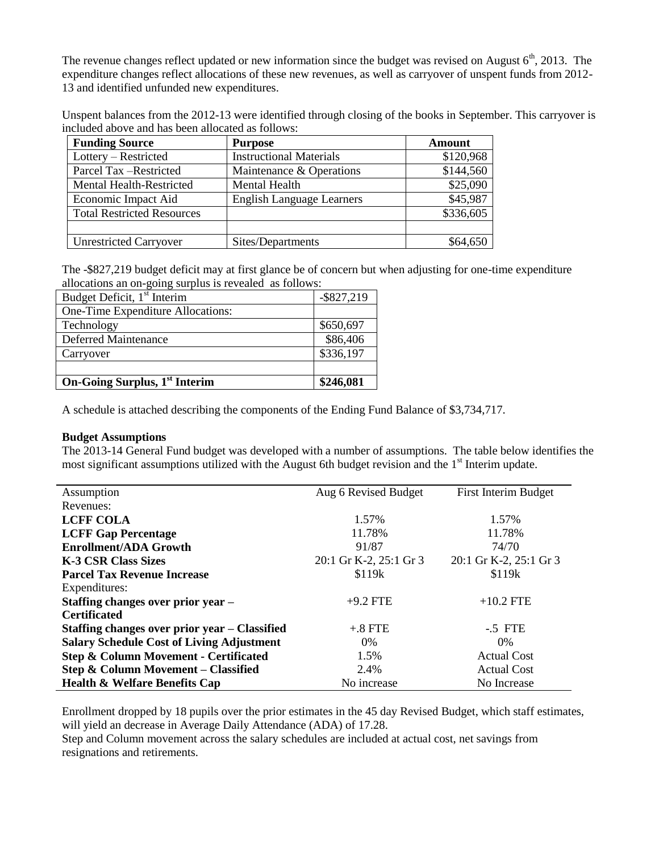The revenue changes reflect updated or new information since the budget was revised on August  $6<sup>th</sup>$ , 2013. The expenditure changes reflect allocations of these new revenues, as well as carryover of unspent funds from 2012- 13 and identified unfunded new expenditures.

Unspent balances from the 2012-13 were identified through closing of the books in September. This carryover is included above and has been allocated as follows:

| <b>Funding Source</b>             | <b>Purpose</b>                   | Amount    |
|-----------------------------------|----------------------------------|-----------|
| Lottery – Restricted              | <b>Instructional Materials</b>   | \$120,968 |
| Parcel Tax -Restricted            | Maintenance & Operations         | \$144,560 |
| Mental Health-Restricted          | Mental Health                    | \$25,090  |
| Economic Impact Aid               | <b>English Language Learners</b> | \$45,987  |
| <b>Total Restricted Resources</b> |                                  | \$336,605 |
|                                   |                                  |           |
| <b>Unrestricted Carryover</b>     | Sites/Departments                | \$64,650  |

The -\$827,219 budget deficit may at first glance be of concern but when adjusting for one-time expenditure allocations an on-going surplus is revealed as follows:

| Budget Deficit, 1 <sup>st</sup> Interim   | $-$ \$827,219 |
|-------------------------------------------|---------------|
| One-Time Expenditure Allocations:         |               |
| Technology                                | \$650,697     |
| <b>Deferred Maintenance</b>               | \$86,406      |
| Carryover                                 | \$336,197     |
|                                           |               |
| On-Going Surplus, 1 <sup>st</sup> Interim | \$246,081     |

A schedule is attached describing the components of the Ending Fund Balance of \$3,734,717.

#### **Budget Assumptions**

The 2013-14 General Fund budget was developed with a number of assumptions. The table below identifies the most significant assumptions utilized with the August 6th budget revision and the  $1<sup>st</sup>$  Interim update.

| Assumption                                       | Aug 6 Revised Budget   | First Interim Budget   |
|--------------------------------------------------|------------------------|------------------------|
| Revenues:                                        |                        |                        |
| <b>LCFF COLA</b>                                 | 1.57%                  | 1.57%                  |
| <b>LCFF Gap Percentage</b>                       | 11.78%                 | 11.78%                 |
| <b>Enrollment/ADA Growth</b>                     | 91/87                  | 74/70                  |
| <b>K-3 CSR Class Sizes</b>                       | 20:1 Gr K-2, 25:1 Gr 3 | 20:1 Gr K-2, 25:1 Gr 3 |
| <b>Parcel Tax Revenue Increase</b>               | \$119 <sub>k</sub>     | \$119 <sub>k</sub>     |
| Expenditures:                                    |                        |                        |
| Staffing changes over prior year -               | $+9.2$ FTE             | $+10.2$ FTE            |
| <b>Certificated</b>                              |                        |                        |
| Staffing changes over prior year – Classified    | $+.8$ FTE              | $-5$ FTE               |
| <b>Salary Schedule Cost of Living Adjustment</b> | 0%                     | $0\%$                  |
| Step & Column Movement - Certificated            | 1.5%                   | <b>Actual Cost</b>     |
| Step & Column Movement – Classified              | 2.4%                   | <b>Actual Cost</b>     |
| <b>Health &amp; Welfare Benefits Cap</b>         | No increase            | No Increase            |

Enrollment dropped by 18 pupils over the prior estimates in the 45 day Revised Budget, which staff estimates, will yield an decrease in Average Daily Attendance (ADA) of 17.28.

Step and Column movement across the salary schedules are included at actual cost, net savings from resignations and retirements.